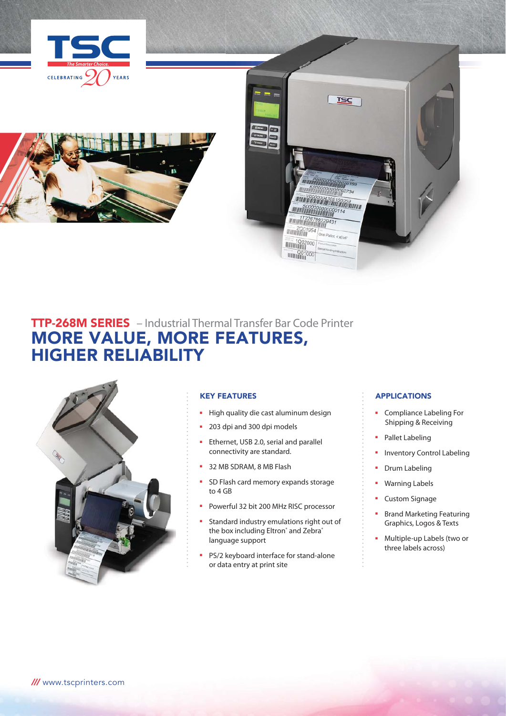





# TTP-268M SERIES – Industrial Thermal Transfer Bar Code Printer MORE VALUE, MORE FEATURES, HIGHER RELIABILITY



### KEY FEATURES

- High quality die cast aluminum design
- 203 dpi and 300 dpi models
- Ethernet, USB 2.0, serial and parallel connectivity are standard.
- 32 MB SDRAM, 8 MB Flash
- SD Flash card memory expands storage to 4 GB
- Powerful 32 bit 200 MHz RISC processor
- Standard industry emulations right out of the box including Eltron<sup>®</sup> and Zebra® language support
- PS/2 keyboard interface for stand-alone or data entry at print site

### APPLICATIONS

- Compliance Labeling For Shipping & Receiving
- Pallet Labeling
- Inventory Control Labeling
- Drum Labeling
- Warning Labels
- Custom Signage
- Brand Marketing Featuring Graphics, Logos & Texts
- Multiple-up Labels (two or three labels across)